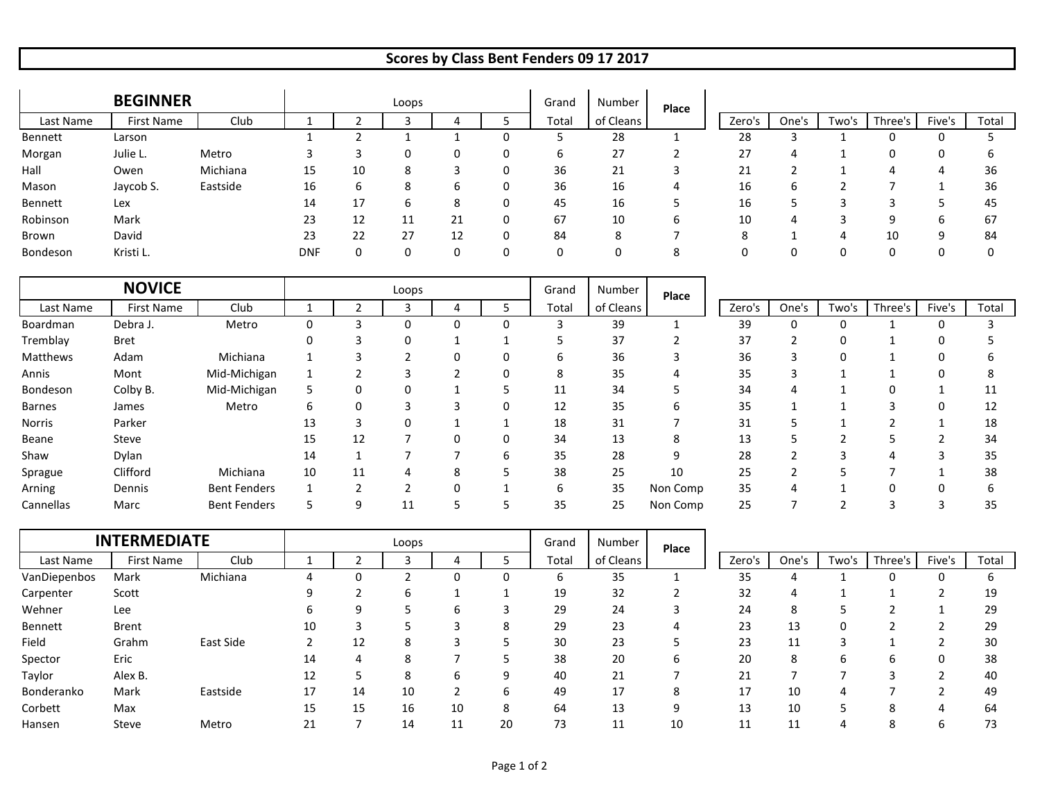## **Scores by Class Bent Fenders 09 17 2017**

|           | <b>BEGINNER</b> |          |            |    | Loops |    | Grand | Number    | Place        |        |       |       |         |        |       |
|-----------|-----------------|----------|------------|----|-------|----|-------|-----------|--------------|--------|-------|-------|---------|--------|-------|
| Last Name | First Name      | Club     |            |    |       |    | Total | of Cleans |              | Zero's | One's | Two's | Three's | Five's | Total |
| Bennett   | Larson          |          |            |    |       |    |       | 28        |              | 28     |       |       |         |        |       |
| Morgan    | Julie L.        | Metro    |            |    |       |    | b     | 27        |              | 27     | 4     |       | 0       |        | h     |
| Hall      | Owen            | Michiana | 15         | 10 | ŏ     |    | 36    | 21        |              | 21     |       |       |         |        | 36    |
| Mason     | Jaycob S.       | Eastside | 16         | ь  |       |    | 36    | 16        |              | 16     | b     |       |         |        | 36    |
| Bennett   | Lex             |          | 14         | 17 |       |    | 45    | 16        |              | 16     |       |       |         |        | 45    |
| Robinson  | Mark            |          | 23         | 12 | ᆠ     | 21 | 67    | 10        | ь            | 10     | 4     |       | a       |        | 67    |
| Brown     | David           |          | 23         | 22 | 27    | 12 | 84    | 8         |              | 8      |       |       | 10      |        | 84    |
| Bondeson  | Kristi L.       |          | <b>DNF</b> |    |       |    | 0     | 0         | $\circ$<br>Õ | 0      |       |       | 0       |        |       |

|               | <b>NOVICE</b> |                     | Grand<br>Loops |                   |    |   |          |       | Number    | Place    |        |       |          |         |        |       |
|---------------|---------------|---------------------|----------------|-------------------|----|---|----------|-------|-----------|----------|--------|-------|----------|---------|--------|-------|
| Last Name     | First Name    | Club                |                |                   |    |   |          | Total | of Cleans |          | Zero's | One's | Two's    | Three's | Five's | Total |
| Boardman      | Debra J.      | Metro               | 0              | 3                 | 0  |   | O        | -5    | 39        |          | 39     | 0     | 0        |         | C      |       |
| Tremblay      | <b>Bret</b>   |                     |                |                   | 0  |   |          |       | 37        |          | 37     |       | 0        |         | 0      |       |
| Matthews      | Adam          | Michiana            |                | 3                 |    |   | $\Omega$ | 6     | 36        |          | 36     |       | $\Omega$ |         |        |       |
| Annis         | Mont          | Mid-Michigan        |                |                   |    |   | 0        | 8     | 35        | 4        | 35     | ъ.    |          |         | 0      |       |
| Bondeson      | Colby B.      | Mid-Michigan        | ь              | 0                 |    |   |          | 11    | 34        |          | 34     |       |          | 0       |        | 11    |
| <b>Barnes</b> | James         | Metro               | 6              | 0                 |    |   | 0        | 12    | 35        | b        | 35     |       |          | 3       |        | 12    |
| Norris        | Parker        |                     | 13             | 3                 | 0  |   |          | 18    | 31        |          | 31     |       |          |         |        | 18    |
| Beane         | Steve         |                     | 15             | 12                |    |   | 0        | 34    | 13        | 8        | 13     |       |          |         |        | 34    |
| Shaw          | Dylan         |                     | 14             |                   |    |   | 6        | 35    | 28        | 9        | 28     |       |          | 4       |        | 35    |
| Sprague       | Clifford      | Michiana            | 10             | 11                | 4  | 8 |          | 38    | 25        | 10       | 25     |       |          |         |        | 38    |
| Arning        | Dennis        | <b>Bent Fenders</b> |                | $\mathbf{\hat{}}$ |    |   |          | 6     | 35        | Non Comp | 35     | 4     |          |         |        |       |
| Cannellas     | Marc          | <b>Bent Fenders</b> |                | 9                 | 11 |   |          | 35    | 25        | Non Comp | 25     |       |          | 3       |        | 35    |

|              | <b>INTERMEDIATE</b> |           |    |    | Loops |    |    | Grand | Number    | Place |        |       |       |         |        |       |
|--------------|---------------------|-----------|----|----|-------|----|----|-------|-----------|-------|--------|-------|-------|---------|--------|-------|
| Last Name    | First Name          | Club      |    |    |       |    |    | Total | of Cleans |       | Zero's | One's | Two's | Three's | Five's | Total |
| VanDiepenbos | Mark                | Michiana  |    |    |       |    | 0  | b     | 35        |       | 35     |       |       |         |        |       |
| Carpenter    | Scott               |           | a  |    | n     |    |    | 19    | 32        |       | 32     |       |       |         |        | 19    |
| Wehner       | Lee                 |           | h  | a  |       |    |    | 29    | 24        |       | 24     | 8     |       |         |        | 29    |
| Bennett      | <b>Brent</b>        |           | 10 |    |       |    | 8  | 29    | 23        | 4     | 23     | 13    | 0     |         |        | 29    |
| Field        | Grahm               | East Side |    | 12 | 8     |    |    | 30    | 23        |       | 23     | 11    |       |         |        | 30    |
| Spector      | Eric                |           | 14 |    |       |    |    | 38    | 20        | b     | 20     | 8     | b     | ь       |        | 38    |
| Taylor       | Alex B.             |           | 12 |    |       | h  | 9  | 40    | 21        |       | 21     |       |       |         |        | 40    |
| Bonderanko   | Mark                | Eastside  | 17 | 14 | 10    |    | 6  | 49    | 17        | 8     | 17     | 10    | 4     |         |        | 49    |
| Corbett      | Max                 |           | 15 | 15 | 16    | 10 | 8  | 64    | 13        | a     | 13     | 10    |       | 8       |        | 64    |
| Hansen       | Steve               | Metro     |    |    | 14    | 11 | 20 | 73    | 11        | 10    | 11     | 11    | 4     | 8       |        | 73    |